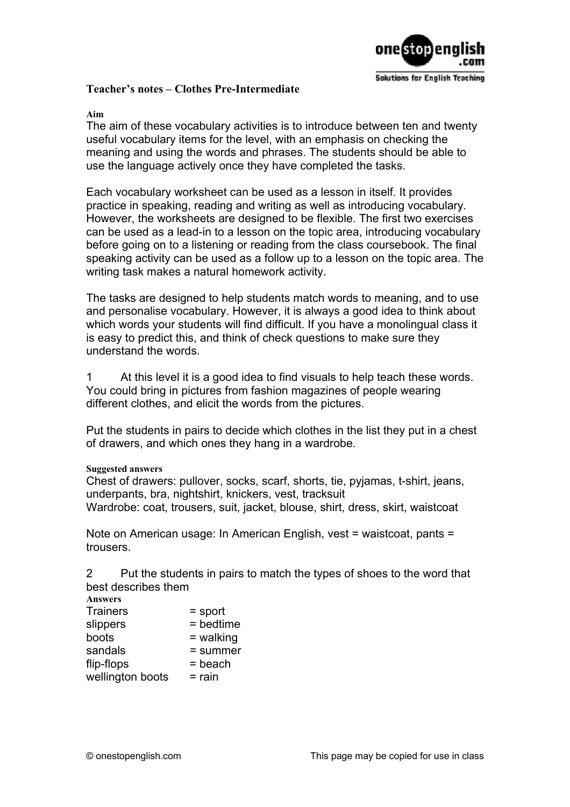

## **Teacher's notes – Clothes Pre-Intermediate**

## **Aim**

The aim of these vocabulary activities is to introduce between ten and twenty useful vocabulary items for the level, with an emphasis on checking the meaning and using the words and phrases. The students should be able to use the language actively once they have completed the tasks.

Each vocabulary worksheet can be used as a lesson in itself. It provides practice in speaking, reading and writing as well as introducing vocabulary. However, the worksheets are designed to be flexible. The first two exercises can be used as a lead-in to a lesson on the topic area, introducing vocabulary before going on to a listening or reading from the class coursebook. The final speaking activity can be used as a follow up to a lesson on the topic area. The writing task makes a natural homework activity.

The tasks are designed to help students match words to meaning, and to use and personalise vocabulary. However, it is always a good idea to think about which words your students will find difficult. If you have a monolingual class it is easy to predict this, and think of check questions to make sure they understand the words.

1 At this level it is a good idea to find visuals to help teach these words. You could bring in pictures from fashion magazines of people wearing different clothes, and elicit the words from the pictures.

Put the students in pairs to decide which clothes in the list they put in a chest of drawers, and which ones they hang in a wardrobe.

## **Suggested answers**

Chest of drawers: pullover, socks, scarf, shorts, tie, pyjamas, t-shirt, jeans, underpants, bra, nightshirt, knickers, vest, tracksuit Wardrobe: coat, trousers, suit, jacket, blouse, shirt, dress, skirt, waistcoat

Note on American usage: In American English, vest = waistcoat, pants = trousers.

2 Put the students in pairs to match the types of shoes to the word that best describes them

| Answers          |             |
|------------------|-------------|
| Trainers         | $=$ sport   |
| slippers         | $=$ bedtime |
| boots            | $=$ walking |
| sandals          | $=$ summer  |
| flip-flops       | $=$ beach   |
| wellington boots | $=$ rain    |
|                  |             |